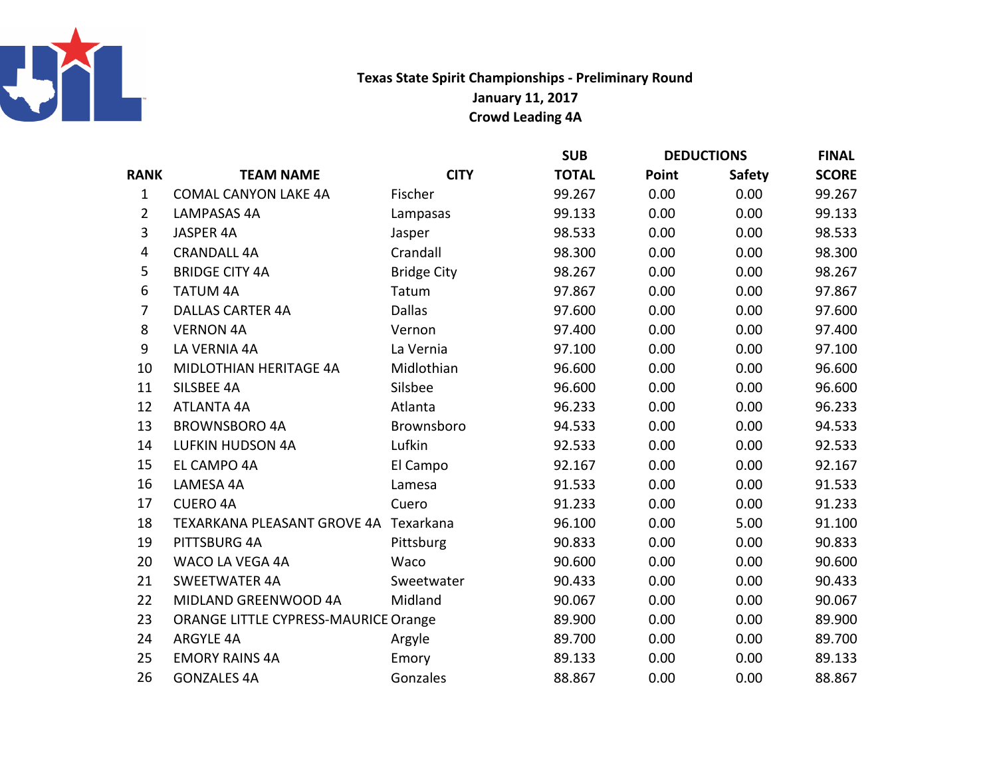

## Texas State Spirit Championships - Preliminary RoundJanuary 11, 2017Crowd Leading 4A

|                  |                                       |                    | <b>SUB</b>   | <b>DEDUCTIONS</b> |               | <b>FINAL</b> |
|------------------|---------------------------------------|--------------------|--------------|-------------------|---------------|--------------|
| <b>RANK</b>      | <b>TEAM NAME</b>                      | <b>CITY</b>        | <b>TOTAL</b> | Point             | <b>Safety</b> | <b>SCORE</b> |
| $\mathbf{1}$     | <b>COMAL CANYON LAKE 4A</b>           | Fischer            | 99.267       | 0.00              | 0.00          | 99.267       |
| $\overline{2}$   | <b>LAMPASAS 4A</b>                    | Lampasas           | 99.133       | 0.00              | 0.00          | 99.133       |
| 3                | JASPER 4A                             | Jasper             | 98.533       | 0.00              | 0.00          | 98.533       |
| $\overline{4}$   | <b>CRANDALL 4A</b>                    | Crandall           | 98.300       | 0.00              | 0.00          | 98.300       |
| 5                | <b>BRIDGE CITY 4A</b>                 | <b>Bridge City</b> | 98.267       | 0.00              | 0.00          | 98.267       |
| 6                | <b>TATUM 4A</b>                       | Tatum              | 97.867       | 0.00              | 0.00          | 97.867       |
| $\overline{7}$   | <b>DALLAS CARTER 4A</b>               | <b>Dallas</b>      | 97.600       | 0.00              | 0.00          | 97.600       |
| 8                | <b>VERNON 4A</b>                      | Vernon             | 97.400       | 0.00              | 0.00          | 97.400       |
| $\boldsymbol{9}$ | LA VERNIA 4A                          | La Vernia          | 97.100       | 0.00              | 0.00          | 97.100       |
| 10               | MIDLOTHIAN HERITAGE 4A                | Midlothian         | 96.600       | 0.00              | 0.00          | 96.600       |
| 11               | SILSBEE 4A                            | Silsbee            | 96.600       | 0.00              | 0.00          | 96.600       |
| 12               | <b>ATLANTA 4A</b>                     | Atlanta            | 96.233       | 0.00              | 0.00          | 96.233       |
| 13               | <b>BROWNSBORO 4A</b>                  | Brownsboro         | 94.533       | 0.00              | 0.00          | 94.533       |
| 14               | <b>LUFKIN HUDSON 4A</b>               | Lufkin             | 92.533       | 0.00              | 0.00          | 92.533       |
| 15               | EL CAMPO 4A                           | El Campo           | 92.167       | 0.00              | 0.00          | 92.167       |
| 16               | LAMESA 4A                             | Lamesa             | 91.533       | 0.00              | 0.00          | 91.533       |
| 17               | <b>CUERO 4A</b>                       | Cuero              | 91.233       | 0.00              | 0.00          | 91.233       |
| 18               | TEXARKANA PLEASANT GROVE 4A Texarkana |                    | 96.100       | 0.00              | 5.00          | 91.100       |
| 19               | PITTSBURG 4A                          | Pittsburg          | 90.833       | 0.00              | 0.00          | 90.833       |
| 20               | WACO LA VEGA 4A                       | Waco               | 90.600       | 0.00              | 0.00          | 90.600       |
| 21               | <b>SWEETWATER 4A</b>                  | Sweetwater         | 90.433       | 0.00              | 0.00          | 90.433       |
| 22               | MIDLAND GREENWOOD 4A                  | Midland            | 90.067       | 0.00              | 0.00          | 90.067       |
| 23               | ORANGE LITTLE CYPRESS-MAURICE Orange  |                    | 89.900       | 0.00              | 0.00          | 89.900       |
| 24               | <b>ARGYLE 4A</b>                      | Argyle             | 89.700       | 0.00              | 0.00          | 89.700       |
| 25               | <b>EMORY RAINS 4A</b>                 | Emory              | 89.133       | 0.00              | 0.00          | 89.133       |
| 26               | <b>GONZALES 4A</b>                    | Gonzales           | 88.867       | 0.00              | 0.00          | 88.867       |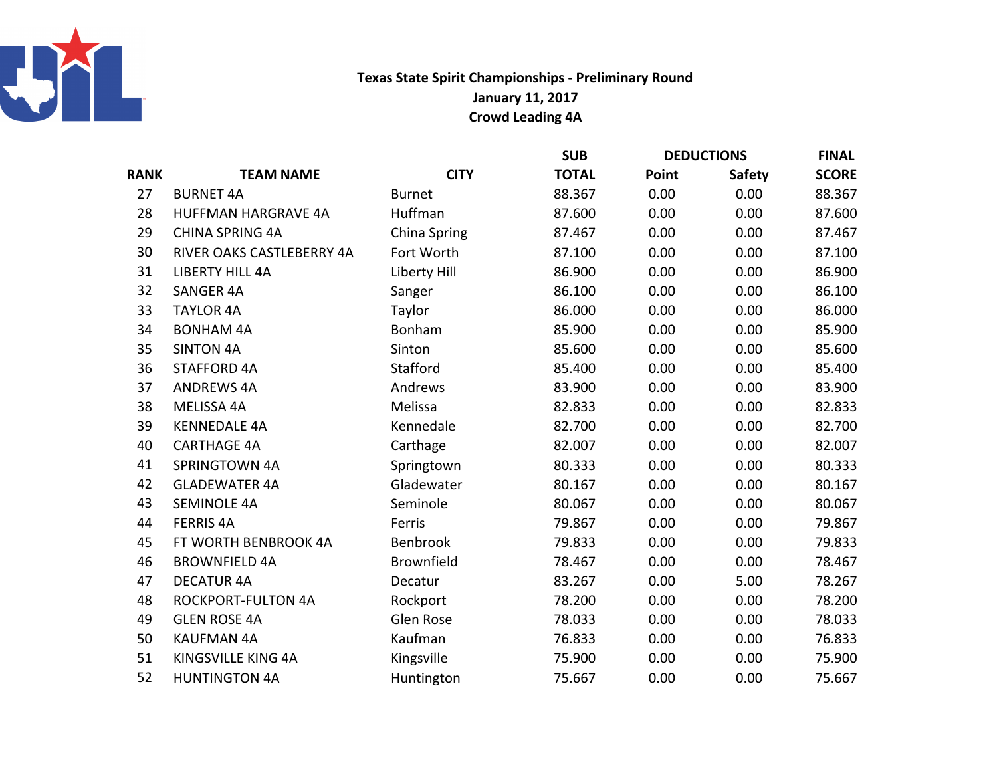

## Texas State Spirit Championships - Preliminary RoundJanuary 11, 2017Crowd Leading 4A

|             |                            |                   | <b>SUB</b>   | <b>DEDUCTIONS</b> |               | <b>FINAL</b> |
|-------------|----------------------------|-------------------|--------------|-------------------|---------------|--------------|
| <b>RANK</b> | <b>TEAM NAME</b>           | <b>CITY</b>       | <b>TOTAL</b> | Point             | <b>Safety</b> | <b>SCORE</b> |
| 27          | <b>BURNET 4A</b>           | <b>Burnet</b>     | 88.367       | 0.00              | 0.00          | 88.367       |
| 28          | <b>HUFFMAN HARGRAVE 4A</b> | Huffman           | 87.600       | 0.00              | 0.00          | 87.600       |
| 29          | <b>CHINA SPRING 4A</b>     | China Spring      | 87.467       | 0.00              | 0.00          | 87.467       |
| 30          | RIVER OAKS CASTLEBERRY 4A  | Fort Worth        | 87.100       | 0.00              | 0.00          | 87.100       |
| 31          | <b>LIBERTY HILL 4A</b>     | Liberty Hill      | 86.900       | 0.00              | 0.00          | 86.900       |
| 32          | <b>SANGER 4A</b>           | Sanger            | 86.100       | 0.00              | 0.00          | 86.100       |
| 33          | <b>TAYLOR 4A</b>           | Taylor            | 86.000       | 0.00              | 0.00          | 86.000       |
| 34          | <b>BONHAM 4A</b>           | Bonham            | 85.900       | 0.00              | 0.00          | 85.900       |
| 35          | <b>SINTON 4A</b>           | Sinton            | 85.600       | 0.00              | 0.00          | 85.600       |
| 36          | <b>STAFFORD 4A</b>         | Stafford          | 85.400       | 0.00              | 0.00          | 85.400       |
| 37          | <b>ANDREWS 4A</b>          | Andrews           | 83.900       | 0.00              | 0.00          | 83.900       |
| 38          | MELISSA 4A                 | Melissa           | 82.833       | 0.00              | 0.00          | 82.833       |
| 39          | <b>KENNEDALE 4A</b>        | Kennedale         | 82.700       | 0.00              | 0.00          | 82.700       |
| 40          | <b>CARTHAGE 4A</b>         | Carthage          | 82.007       | 0.00              | 0.00          | 82.007       |
| 41          | <b>SPRINGTOWN 4A</b>       | Springtown        | 80.333       | 0.00              | 0.00          | 80.333       |
| 42          | <b>GLADEWATER 4A</b>       | Gladewater        | 80.167       | 0.00              | 0.00          | 80.167       |
| 43          | <b>SEMINOLE 4A</b>         | Seminole          | 80.067       | 0.00              | 0.00          | 80.067       |
| 44          | <b>FERRIS 4A</b>           | Ferris            | 79.867       | 0.00              | 0.00          | 79.867       |
| 45          | FT WORTH BENBROOK 4A       | Benbrook          | 79.833       | 0.00              | 0.00          | 79.833       |
| 46          | <b>BROWNFIELD 4A</b>       | <b>Brownfield</b> | 78.467       | 0.00              | 0.00          | 78.467       |
| 47          | <b>DECATUR 4A</b>          | Decatur           | 83.267       | 0.00              | 5.00          | 78.267       |
| 48          | <b>ROCKPORT-FULTON 4A</b>  | Rockport          | 78.200       | 0.00              | 0.00          | 78.200       |
| 49          | <b>GLEN ROSE 4A</b>        | Glen Rose         | 78.033       | 0.00              | 0.00          | 78.033       |
| 50          | <b>KAUFMAN 4A</b>          | Kaufman           | 76.833       | 0.00              | 0.00          | 76.833       |
| 51          | KINGSVILLE KING 4A         | Kingsville        | 75.900       | 0.00              | 0.00          | 75.900       |
| 52          | <b>HUNTINGTON 4A</b>       | Huntington        | 75.667       | 0.00              | 0.00          | 75.667       |